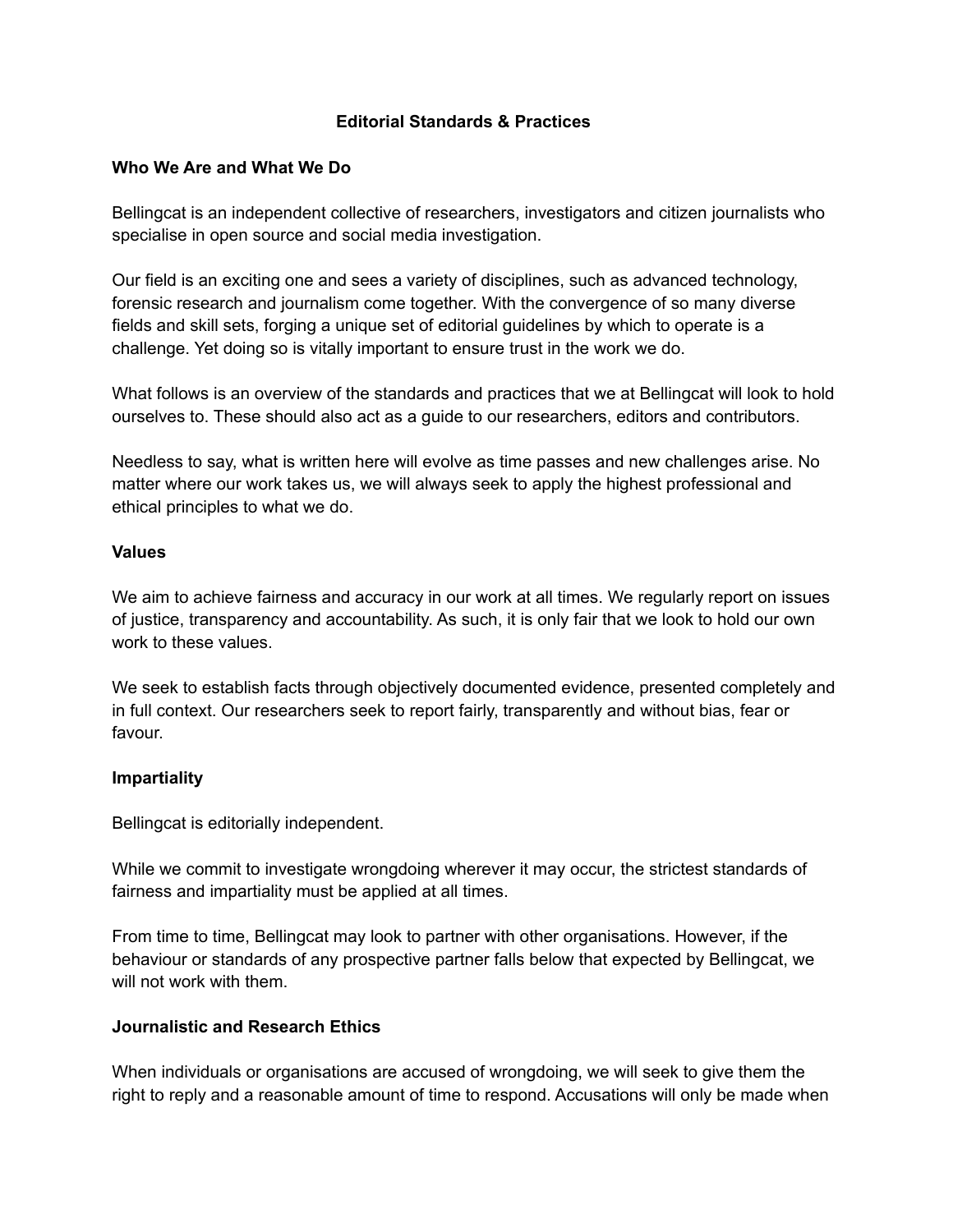## **Editorial Standards & Practices**

### **Who We Are and What We Do**

Bellingcat is an independent collective of researchers, investigators and citizen journalists who specialise in open source and social media investigation.

Our field is an exciting one and sees a variety of disciplines, such as advanced technology, forensic research and journalism come together. With the convergence of so many diverse fields and skill sets, forging a unique set of editorial guidelines by which to operate is a challenge. Yet doing so is vitally important to ensure trust in the work we do.

What follows is an overview of the standards and practices that we at Bellingcat will look to hold ourselves to. These should also act as a guide to our researchers, editors and contributors.

Needless to say, what is written here will evolve as time passes and new challenges arise. No matter where our work takes us, we will always seek to apply the highest professional and ethical principles to what we do.

#### **Values**

We aim to achieve fairness and accuracy in our work at all times. We regularly report on issues of justice, transparency and accountability. As such, it is only fair that we look to hold our own work to these values.

We seek to establish facts through objectively documented evidence, presented completely and in full context. Our researchers seek to report fairly, transparently and without bias, fear or favour.

### **Impartiality**

Bellingcat is editorially independent.

While we commit to investigate wrongdoing wherever it may occur, the strictest standards of fairness and impartiality must be applied at all times.

From time to time, Bellingcat may look to partner with other organisations. However, if the behaviour or standards of any prospective partner falls below that expected by Bellingcat, we will not work with them.

### **Journalistic and Research Ethics**

When individuals or organisations are accused of wrongdoing, we will seek to give them the right to reply and a reasonable amount of time to respond. Accusations will only be made when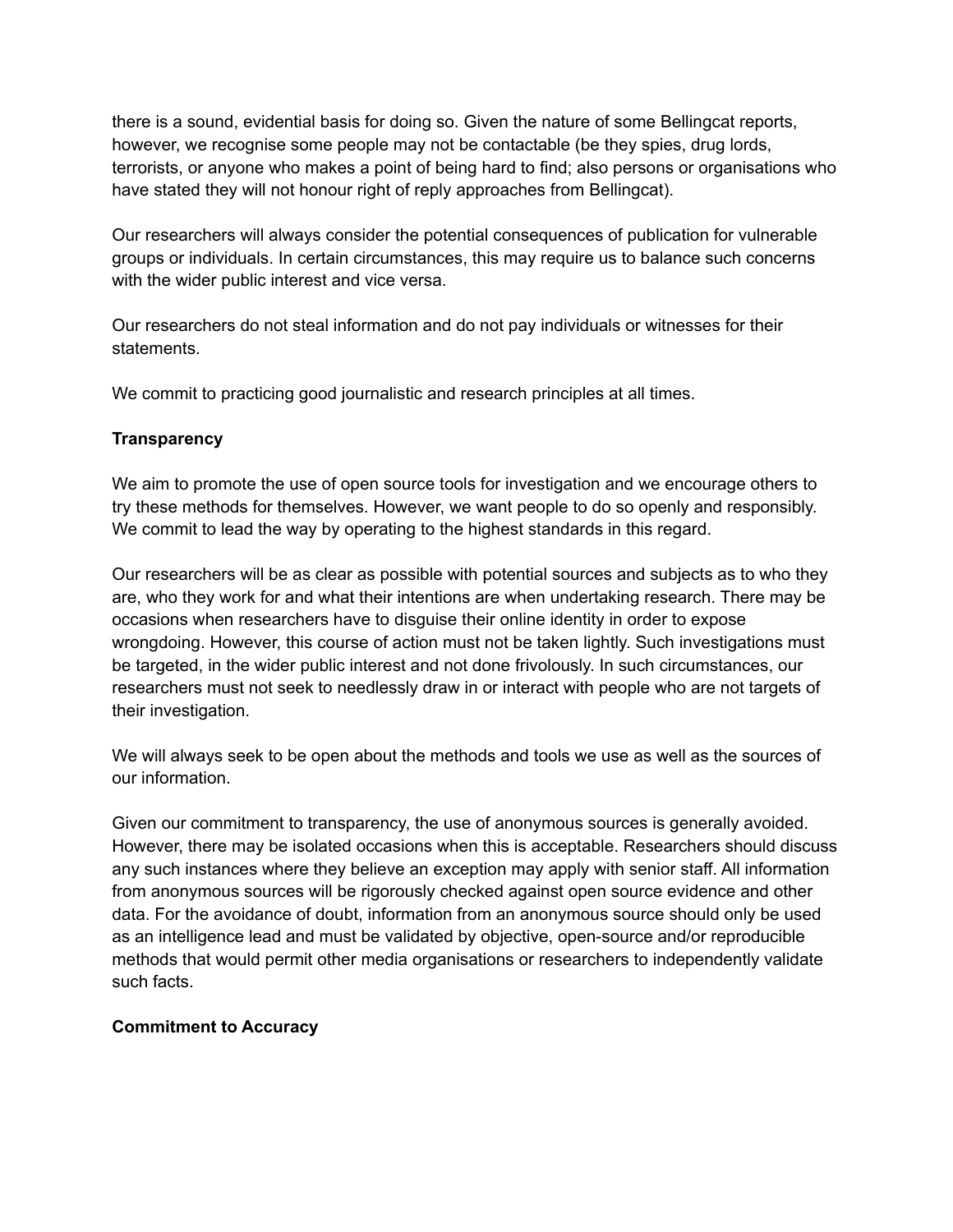there is a sound, evidential basis for doing so. Given the nature of some Bellingcat reports, however, we recognise some people may not be contactable (be they spies, drug lords, terrorists, or anyone who makes a point of being hard to find; also persons or organisations who have stated they will not honour right of reply approaches from Bellingcat).

Our researchers will always consider the potential consequences of publication for vulnerable groups or individuals. In certain circumstances, this may require us to balance such concerns with the wider public interest and vice versa.

Our researchers do not steal information and do not pay individuals or witnesses for their statements.

We commit to practicing good journalistic and research principles at all times.

## **Transparency**

We aim to promote the use of open source tools for investigation and we encourage others to try these methods for themselves. However, we want people to do so openly and responsibly. We commit to lead the way by operating to the highest standards in this regard.

Our researchers will be as clear as possible with potential sources and subjects as to who they are, who they work for and what their intentions are when undertaking research. There may be occasions when researchers have to disguise their online identity in order to expose wrongdoing. However, this course of action must not be taken lightly. Such investigations must be targeted, in the wider public interest and not done frivolously. In such circumstances, our researchers must not seek to needlessly draw in or interact with people who are not targets of their investigation.

We will always seek to be open about the methods and tools we use as well as the sources of our information.

Given our commitment to transparency, the use of anonymous sources is generally avoided. However, there may be isolated occasions when this is acceptable. Researchers should discuss any such instances where they believe an exception may apply with senior staff. All information from anonymous sources will be rigorously checked against open source evidence and other data. For the avoidance of doubt, information from an anonymous source should only be used as an intelligence lead and must be validated by objective, open-source and/or reproducible methods that would permit other media organisations or researchers to independently validate such facts.

### **Commitment to Accuracy**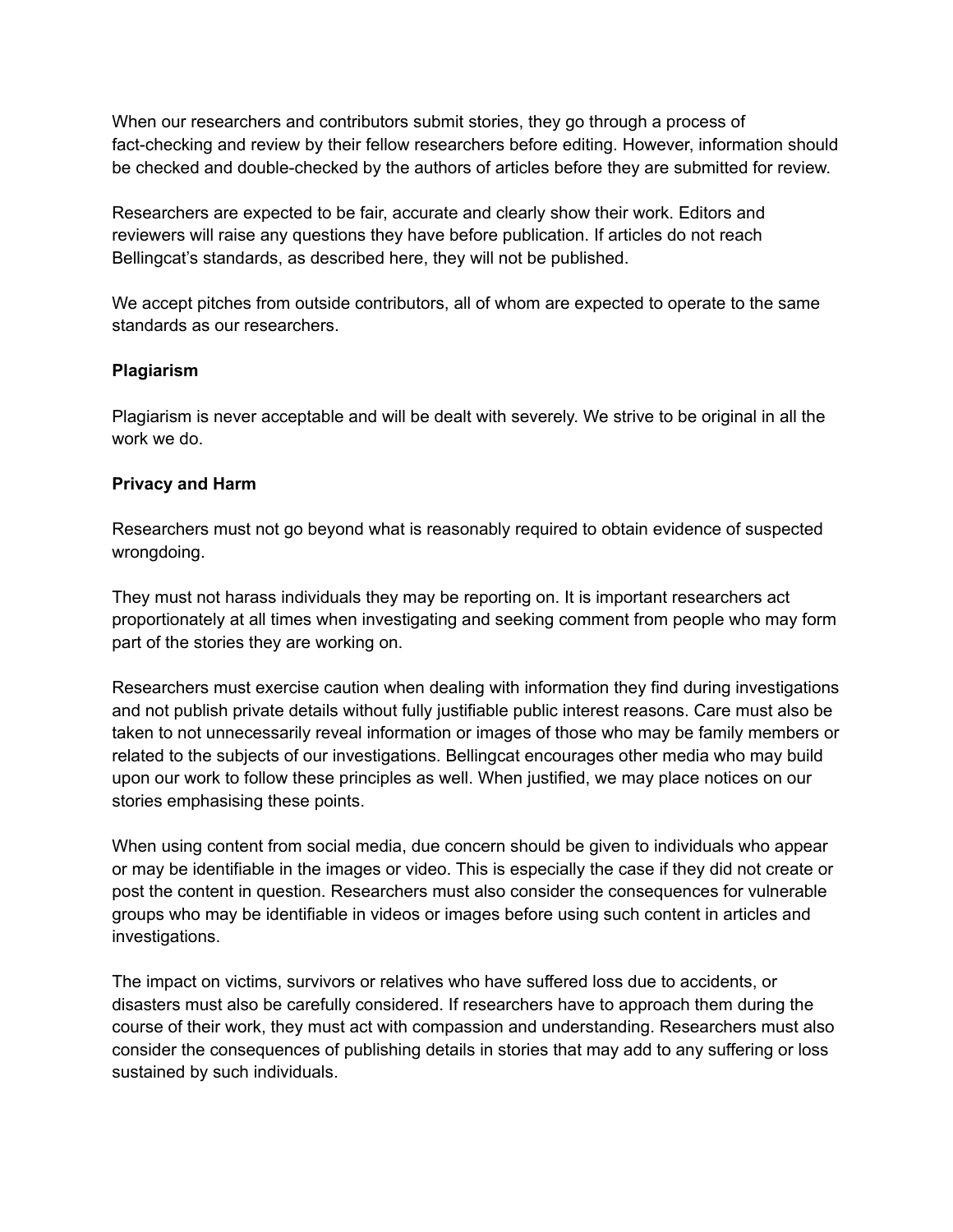When our researchers and contributors submit stories, they go through a process of fact-checking and review by their fellow researchers before editing. However, information should be checked and double-checked by the authors of articles before they are submitted for review.

Researchers are expected to be fair, accurate and clearly show their work. Editors and reviewers will raise any questions they have before publication. If articles do not reach Bellingcat's standards, as described here, they will not be published.

We accept pitches from outside contributors, all of whom are expected to operate to the same standards as our researchers.

# **Plagiarism**

Plagiarism is never acceptable and will be dealt with severely. We strive to be original in all the work we do.

## **Privacy and Harm**

Researchers must not go beyond what is reasonably required to obtain evidence of suspected wrongdoing.

They must not harass individuals they may be reporting on. It is important researchers act proportionately at all times when investigating and seeking comment from people who may form part of the stories they are working on.

Researchers must exercise caution when dealing with information they find during investigations and not publish private details without fully justifiable public interest reasons. Care must also be taken to not unnecessarily reveal information or images of those who may be family members or related to the subjects of our investigations. Bellingcat encourages other media who may build upon our work to follow these principles as well. When justified, we may place notices on our stories emphasising these points.

When using content from social media, due concern should be given to individuals who appear or may be identifiable in the images or video. This is especially the case if they did not create or post the content in question. Researchers must also consider the consequences for vulnerable groups who may be identifiable in videos or images before using such content in articles and investigations.

The impact on victims, survivors or relatives who have suffered loss due to accidents, or disasters must also be carefully considered. If researchers have to approach them during the course of their work, they must act with compassion and understanding. Researchers must also consider the consequences of publishing details in stories that may add to any suffering or loss sustained by such individuals.